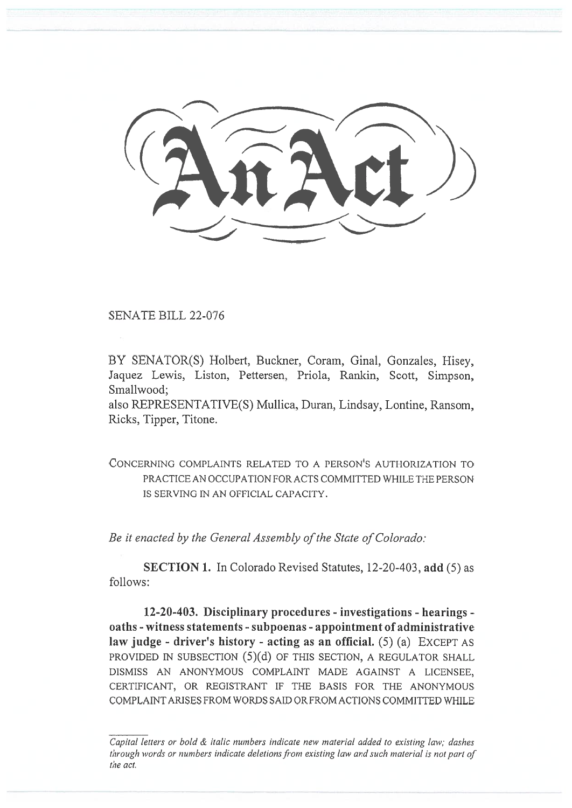SENATE BILL 22-076

BY SENATOR(S) Holbert, Buckner, Coram, Ginal, Gonzales, Hisey, Jaquez Lewis, Liston, Pettersen, Priola, Rankin, Scott, Simpson, Smallwood;

also REPRESENTATIVE(S) Mullica, Duran, Lindsay, Lontine, Ransom, Ricks, Tipper, Titone.

CONCERNING COMPLAINTS RELATED TO A PERSON'S AUTHORIZATION TO PRACTICE AN OCCUPATION FOR ACTS COMMITTED WHILE THE PERSON IS SERVING IN AN OFFICIAL CAPACITY.

Be it enacted by the General Assembly of the State of Colorado:

SECTION 1. In Colorado Revised Statutes, 12-20-403, add (5) as follows:

12-20-403. Disciplinary procedures - investigations - hearings oaths - witness statements - subpoenas - appointment of administrative law judge - driver's history - acting as an official.  $(5)$  (a) EXCEPT AS PROVIDED IN SUBSECTION (5)(d) OF THIS SECTION, A REGULATOR SHALL DISMISS AN ANONYMOUS COMPLAINT MADE AGAINST A LICENSEE, CERTIFICANT, OR REGISTRANT IF THE BASIS FOR THE ANONYMOUS COMPLAINT ARISES FROM WORDS SAID OR FROM ACTIONS COMMITTED WHILE

Capital letters or bold & italic numbers indicate new material added to existing law; dashes through words or numbers indicate deletions from existing law and such material is not part of the act.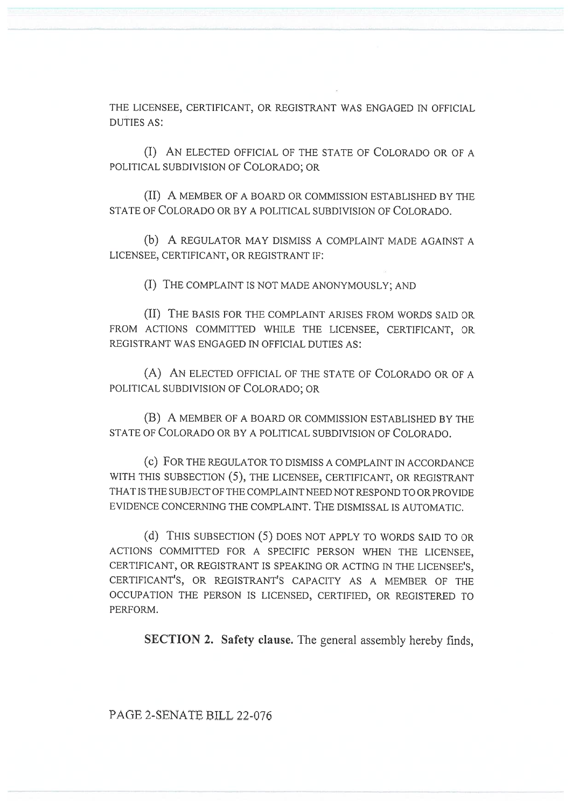THE LICENSEE, CERTIFICANT, OR REGISTRANT WAS ENGAGED IN OFFICIAL DUTIES AS:

(I) AN ELECTED OFFICIAL OF THE STATE OF COLORADO OR OF A POLITICAL SUBDIVISION OF COLORADO; OR

(II) A MEMBER OF A BOARD OR COMMISSION ESTABLISHED BY THE STATE OF COLORADO OR BY A POLITICAL SUBDIVISION OF COLORADO.

(b) A REGULATOR MAY DISMISS A COMPLAINT MADE AGAINST A LICENSEE, CERTIFICANT, OR REGISTRANT IF:

(I) THE COMPLAINT IS NOT MADE ANONYMOUSLY; AND

(II) THE BASIS FOR THE COMPLAINT ARISES FROM WORDS SAID OR FROM ACTIONS COMMITTED WHILE THE LICENSEE, CERTIFICANT, OR REGISTRANT WAS ENGAGED IN OFFICIAL DUTIES AS:

(A) AN ELECTED OFFICIAL OF THE STATE OF COLORADO OR OF A POLITICAL SUBDIVISION OF COLORADO; OR

(B) A MEMBER OF A BOARD OR COMMISSION ESTABLISHED BY THE STATE OF COLORADO OR BY A POLITICAL SUBDIVISION OF COLORADO.

(c) FOR THE REGULATOR TO DISMISS A COMPLAINT IN ACCORDANCE WITH THIS SUBSECTION (5), THE LICENSEE, CERTIFICANT, OR REGISTRANT THAT IS THE SUBJECT OF THE COMPLAINT NEED NOT RESPOND TO OR PROVIDE EVIDENCE CONCERNING THE COMPLAINT. THE DISMISSAL IS AUTOMATIC.

(d) THIS SUBSECTION (5) DOES NOT APPLY TO WORDS SAID TO OR ACTIONS COMMITTED FOR A SPECIFIC PERSON WHEN THE LICENSEE, CERTIFICANT, OR REGISTRANT IS SPEAKING OR ACTING IN THE LICENSEE'S, CERTIFICANT'S, OR REGISTRANT'S CAPACITY AS A MEMBER OF THE OCCUPATION THE PERSON IS LICENSED, CERTIFIED, OR REGISTERED TO PERFORM.

SECTION 2. Safety clause. The general assembly hereby finds,

PAGE 2-SENATE BILL 22-076